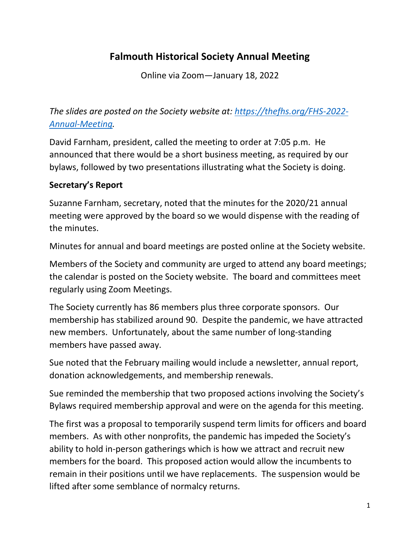# **Falmouth Historical Society Annual Meeting**

Online via Zoom—January 18, 2022

*The slides are posted on the Society website at: [https://thefhs.org/FHS-2022-](https://thefhs.org/FHS-2022-Annual-Meeting) [Annual-Meeting.](https://thefhs.org/FHS-2022-Annual-Meeting)*

David Farnham, president, called the meeting to order at 7:05 p.m. He announced that there would be a short business meeting, as required by our bylaws, followed by two presentations illustrating what the Society is doing.

#### **Secretary's Report**

Suzanne Farnham, secretary, noted that the minutes for the 2020/21 annual meeting were approved by the board so we would dispense with the reading of the minutes.

Minutes for annual and board meetings are posted online at the Society website.

Members of the Society and community are urged to attend any board meetings; the calendar is posted on the Society website. The board and committees meet regularly using Zoom Meetings.

The Society currently has 86 members plus three corporate sponsors. Our membership has stabilized around 90. Despite the pandemic, we have attracted new members. Unfortunately, about the same number of long-standing members have passed away.

Sue noted that the February mailing would include a newsletter, annual report, donation acknowledgements, and membership renewals.

Sue reminded the membership that two proposed actions involving the Society's Bylaws required membership approval and were on the agenda for this meeting.

The first was a proposal to temporarily suspend term limits for officers and board members. As with other nonprofits, the pandemic has impeded the Society's ability to hold in-person gatherings which is how we attract and recruit new members for the board. This proposed action would allow the incumbents to remain in their positions until we have replacements. The suspension would be lifted after some semblance of normalcy returns.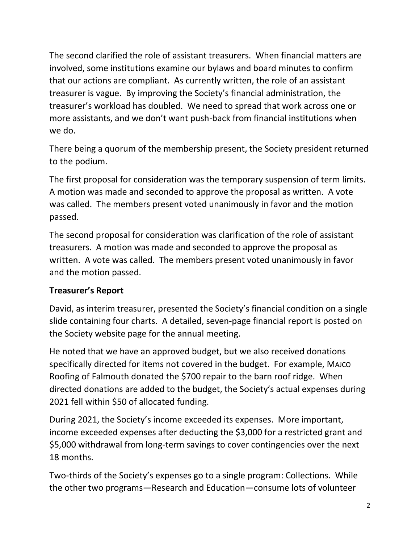The second clarified the role of assistant treasurers. When financial matters are involved, some institutions examine our bylaws and board minutes to confirm that our actions are compliant. As currently written, the role of an assistant treasurer is vague. By improving the Society's financial administration, the treasurer's workload has doubled. We need to spread that work across one or more assistants, and we don't want push-back from financial institutions when we do.

There being a quorum of the membership present, the Society president returned to the podium.

The first proposal for consideration was the temporary suspension of term limits. A motion was made and seconded to approve the proposal as written. A vote was called. The members present voted unanimously in favor and the motion passed.

The second proposal for consideration was clarification of the role of assistant treasurers. A motion was made and seconded to approve the proposal as written. A vote was called. The members present voted unanimously in favor and the motion passed.

# **Treasurer's Report**

David, as interim treasurer, presented the Society's financial condition on a single slide containing four charts. A detailed, seven-page financial report is posted on the Society website page for the annual meeting.

He noted that we have an approved budget, but we also received donations specifically directed for items not covered in the budget. For example, MAJCO Roofing of Falmouth donated the \$700 repair to the barn roof ridge. When directed donations are added to the budget, the Society's actual expenses during 2021 fell within \$50 of allocated funding.

During 2021, the Society's income exceeded its expenses. More important, income exceeded expenses after deducting the \$3,000 for a restricted grant and \$5,000 withdrawal from long-term savings to cover contingencies over the next 18 months.

Two-thirds of the Society's expenses go to a single program: Collections. While the other two programs—Research and Education—consume lots of volunteer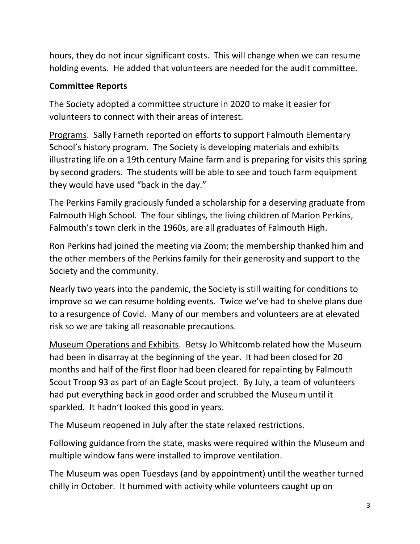hours, they do not incur significant costs. This will change when we can resume holding events. He added that volunteers are needed for the audit committee.

## **Committee Reports**

The Society adopted a committee structure in 2020 to make it easier for volunteers to connect with their areas of interest.

Programs. Sally Farneth reported on efforts to support Falmouth Elementary School's history program. The Society is developing materials and exhibits illustrating life on a 19th century Maine farm and is preparing for visits this spring by second graders. The students will be able to see and touch farm equipment they would have used "back in the day."

The Perkins Family graciously funded a scholarship for a deserving graduate from Falmouth High School. The four siblings, the living children of Marion Perkins, Falmouth's town clerk in the 1960s, are all graduates of Falmouth High.

Ron Perkins had joined the meeting via Zoom; the membership thanked him and the other members of the Perkins family for their generosity and support to the Society and the community.

Nearly two years into the pandemic, the Society is still waiting for conditions to improve so we can resume holding events. Twice we've had to shelve plans due to a resurgence of Covid. Many of our members and volunteers are at elevated risk so we are taking all reasonable precautions.

Museum Operations and Exhibits. Betsy Jo Whitcomb related how the Museum had been in disarray at the beginning of the year. It had been closed for 20 months and half of the first floor had been cleared for repainting by Falmouth Scout Troop 93 as part of an Eagle Scout project. By July, a team of volunteers had put everything back in good order and scrubbed the Museum until it sparkled. It hadn't looked this good in years.

The Museum reopened in July after the state relaxed restrictions.

Following guidance from the state, masks were required within the Museum and multiple window fans were installed to improve ventilation.

The Museum was open Tuesdays (and by appointment) until the weather turned chilly in October. It hummed with activity while volunteers caught up on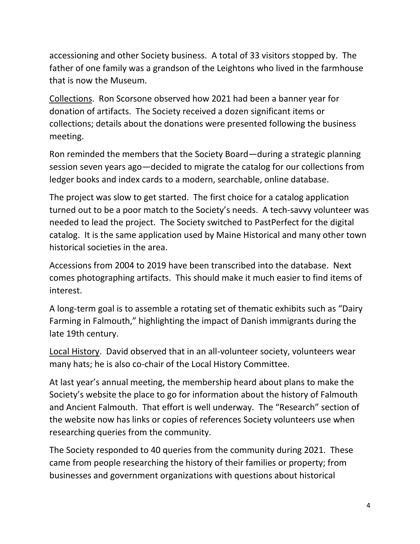accessioning and other Society business. A total of 33 visitors stopped by. The father of one family was a grandson of the Leightons who lived in the farmhouse that is now the Museum.

Collections. Ron Scorsone observed how 2021 had been a banner year for donation of artifacts. The Society received a dozen significant items or collections; details about the donations were presented following the business meeting.

Ron reminded the members that the Society Board—during a strategic planning session seven years ago—decided to migrate the catalog for our collections from ledger books and index cards to a modern, searchable, online database.

The project was slow to get started. The first choice for a catalog application turned out to be a poor match to the Society's needs. A tech-savvy volunteer was needed to lead the project. The Society switched to PastPerfect for the digital catalog. It is the same application used by Maine Historical and many other town historical societies in the area.

Accessions from 2004 to 2019 have been transcribed into the database. Next comes photographing artifacts. This should make it much easier to find items of interest.

A long-term goal is to assemble a rotating set of thematic exhibits such as "Dairy Farming in Falmouth," highlighting the impact of Danish immigrants during the late 19th century.

Local History. David observed that in an all-volunteer society, volunteers wear many hats; he is also co-chair of the Local History Committee.

At last year's annual meeting, the membership heard about plans to make the Society's website the place to go for information about the history of Falmouth and Ancient Falmouth. That effort is well underway. The "Research" section of the website now has links or copies of references Society volunteers use when researching queries from the community.

The Society responded to 40 queries from the community during 2021. These came from people researching the history of their families or property; from businesses and government organizations with questions about historical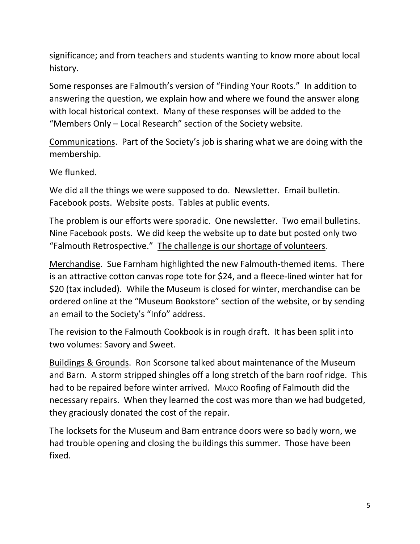significance; and from teachers and students wanting to know more about local history.

Some responses are Falmouth's version of "Finding Your Roots." In addition to answering the question, we explain how and where we found the answer along with local historical context. Many of these responses will be added to the "Members Only – Local Research" section of the Society website.

Communications. Part of the Society's job is sharing what we are doing with the membership.

We flunked.

We did all the things we were supposed to do. Newsletter. Email bulletin. Facebook posts. Website posts. Tables at public events.

The problem is our efforts were sporadic. One newsletter. Two email bulletins. Nine Facebook posts. We did keep the website up to date but posted only two "Falmouth Retrospective." The challenge is our shortage of volunteers.

Merchandise. Sue Farnham highlighted the new Falmouth-themed items. There is an attractive cotton canvas rope tote for \$24, and a fleece-lined winter hat for \$20 (tax included). While the Museum is closed for winter, merchandise can be ordered online at the "Museum Bookstore" section of the website, or by sending an email to the Society's "Info" address.

The revision to the Falmouth Cookbook is in rough draft. It has been split into two volumes: Savory and Sweet.

Buildings & Grounds. Ron Scorsone talked about maintenance of the Museum and Barn. A storm stripped shingles off a long stretch of the barn roof ridge. This had to be repaired before winter arrived. MAJCO Roofing of Falmouth did the necessary repairs. When they learned the cost was more than we had budgeted, they graciously donated the cost of the repair.

The locksets for the Museum and Barn entrance doors were so badly worn, we had trouble opening and closing the buildings this summer. Those have been fixed.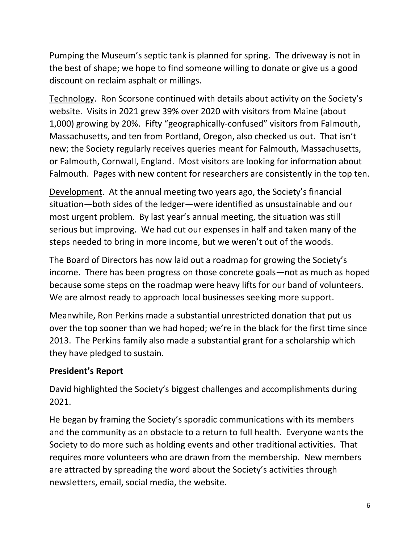Pumping the Museum's septic tank is planned for spring. The driveway is not in the best of shape; we hope to find someone willing to donate or give us a good discount on reclaim asphalt or millings.

Technology. Ron Scorsone continued with details about activity on the Society's website. Visits in 2021 grew 39% over 2020 with visitors from Maine (about 1,000) growing by 20%. Fifty "geographically-confused" visitors from Falmouth, Massachusetts, and ten from Portland, Oregon, also checked us out. That isn't new; the Society regularly receives queries meant for Falmouth, Massachusetts, or Falmouth, Cornwall, England. Most visitors are looking for information about Falmouth. Pages with new content for researchers are consistently in the top ten.

Development. At the annual meeting two years ago, the Society's financial situation—both sides of the ledger—were identified as unsustainable and our most urgent problem. By last year's annual meeting, the situation was still serious but improving. We had cut our expenses in half and taken many of the steps needed to bring in more income, but we weren't out of the woods.

The Board of Directors has now laid out a roadmap for growing the Society's income. There has been progress on those concrete goals—not as much as hoped because some steps on the roadmap were heavy lifts for our band of volunteers. We are almost ready to approach local businesses seeking more support.

Meanwhile, Ron Perkins made a substantial unrestricted donation that put us over the top sooner than we had hoped; we're in the black for the first time since 2013. The Perkins family also made a substantial grant for a scholarship which they have pledged to sustain.

# **President's Report**

David highlighted the Society's biggest challenges and accomplishments during 2021.

He began by framing the Society's sporadic communications with its members and the community as an obstacle to a return to full health. Everyone wants the Society to do more such as holding events and other traditional activities. That requires more volunteers who are drawn from the membership. New members are attracted by spreading the word about the Society's activities through newsletters, email, social media, the website.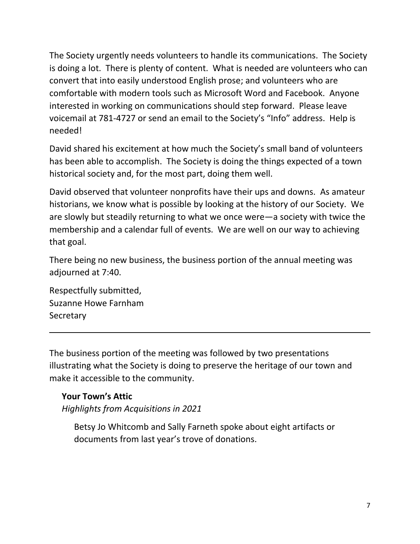The Society urgently needs volunteers to handle its communications. The Society is doing a lot. There is plenty of content. What is needed are volunteers who can convert that into easily understood English prose; and volunteers who are comfortable with modern tools such as Microsoft Word and Facebook. Anyone interested in working on communications should step forward. Please leave voicemail at 781-4727 or send an email to the Society's "Info" address. Help is needed!

David shared his excitement at how much the Society's small band of volunteers has been able to accomplish. The Society is doing the things expected of a town historical society and, for the most part, doing them well.

David observed that volunteer nonprofits have their ups and downs. As amateur historians, we know what is possible by looking at the history of our Society. We are slowly but steadily returning to what we once were—a society with twice the membership and a calendar full of events. We are well on our way to achieving that goal.

There being no new business, the business portion of the annual meeting was adjourned at 7:40.

Respectfully submitted, Suzanne Howe Farnham **Secretary** 

The business portion of the meeting was followed by two presentations illustrating what the Society is doing to preserve the heritage of our town and make it accessible to the community.

### **Your Town's Attic**

*Highlights from Acquisitions in 2021*

Betsy Jo Whitcomb and Sally Farneth spoke about eight artifacts or documents from last year's trove of donations.